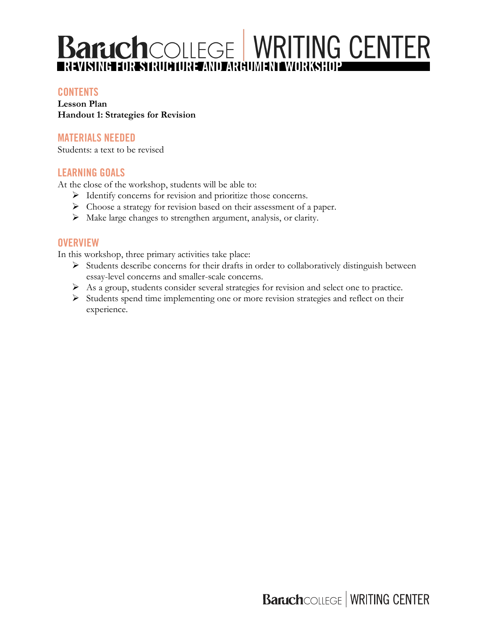# **Baruch**COLLEGE WRITING CENTER

## **CONTENTS**

**Lesson Plan Handout 1: Strategies for Revision**

## **MATERIALS NEEDED**

Students: a text to be revised

#### **LEARNING GOALS**

At the close of the workshop, students will be able to:

- Ø Identify concerns for revision and prioritize those concerns.
- Ø Choose a strategy for revision based on their assessment of a paper.
- $\triangleright$  Make large changes to strengthen argument, analysis, or clarity.

## **OVERVIEW**

In this workshop, three primary activities take place:

- $\triangleright$  Students describe concerns for their drafts in order to collaboratively distinguish between essay-level concerns and smaller-scale concerns.
- Ø As a group, students consider several strategies for revision and select one to practice.
- Ø Students spend time implementing one or more revision strategies and reflect on their experience.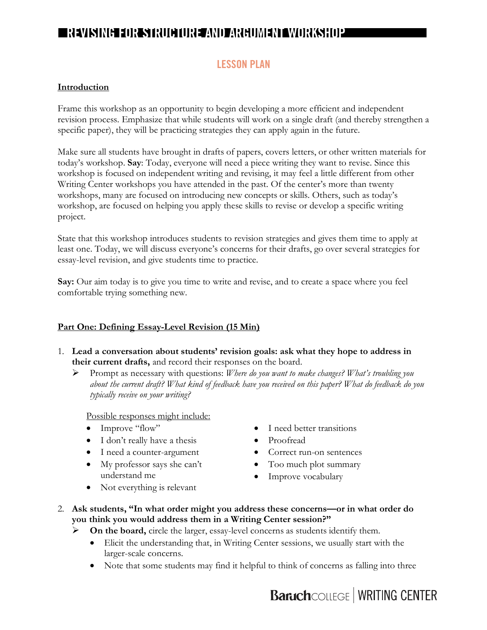## **LESSON PLAN**

#### **Introduction**

Frame this workshop as an opportunity to begin developing a more efficient and independent revision process. Emphasize that while students will work on a single draft (and thereby strengthen a specific paper), they will be practicing strategies they can apply again in the future.

Make sure all students have brought in drafts of papers, covers letters, or other written materials for today's workshop. **Say**: Today, everyone will need a piece writing they want to revise. Since this workshop is focused on independent writing and revising, it may feel a little different from other Writing Center workshops you have attended in the past. Of the center's more than twenty workshops, many are focused on introducing new concepts or skills. Others, such as today's workshop, are focused on helping you apply these skills to revise or develop a specific writing project.

State that this workshop introduces students to revision strategies and gives them time to apply at least one. Today, we will discuss everyone's concerns for their drafts, go over several strategies for essay-level revision, and give students time to practice.

**Say:** Our aim today is to give you time to write and revise, and to create a space where you feel comfortable trying something new.

#### **Part One: Defining Essay-Level Revision (15 Min)**

- 1. **Lead a conversation about students' revision goals: ask what they hope to address in their current drafts,** and record their responses on the board.
	- Ø Prompt as necessary with questions: *Where do you want to make changes? What's troubling you about the current draft? What kind of feedback have you received on this paper? What do feedback do you typically receive on your writing?*

Possible responses might include:

- Improve "flow"
- I don't really have a thesis
- I need a counter-argument
- My professor says she can't understand me
- I need better transitions
- Proofread
- Correct run-on sentences
- Too much plot summary
- Improve vocabulary
- Not everything is relevant
- 2. **Ask students, "In what order might you address these concerns—or in what order do you think you would address them in a Writing Center session?"**
	- $\triangleright$  **On the board,** circle the larger, essay-level concerns as students identify them.
		- Elicit the understanding that, in Writing Center sessions, we usually start with the larger-scale concerns.
		- Note that some students may find it helpful to think of concerns as falling into three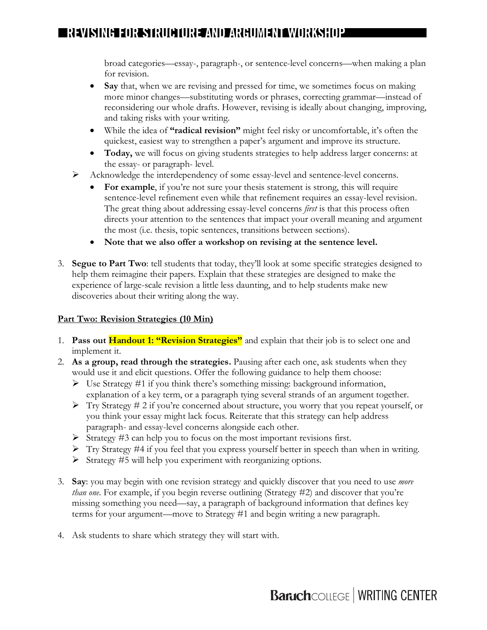broad categories—essay-, paragraph-, or sentence-level concerns—when making a plan for revision.

- **Say** that, when we are revising and pressed for time, we sometimes focus on making more minor changes—substituting words or phrases, correcting grammar—instead of reconsidering our whole drafts. However, revising is ideally about changing, improving, and taking risks with your writing.
- While the idea of **"radical revision"** might feel risky or uncomfortable, it's often the quickest, easiest way to strengthen a paper's argument and improve its structure.
- **Today,** we will focus on giving students strategies to help address larger concerns: at the essay- or paragraph- level.
- Ø Acknowledge the interdependency of some essay-level and sentence-level concerns.
	- For **example**, if you're not sure your thesis statement is strong, this will require sentence-level refinement even while that refinement requires an essay-level revision. The great thing about addressing essay-level concerns *first* is that this process often directs your attention to the sentences that impact your overall meaning and argument the most (i.e. thesis, topic sentences, transitions between sections).
	- **Note that we also offer a workshop on revising at the sentence level.**
- 3. **Segue to Part Two**: tell students that today, they'll look at some specific strategies designed to help them reimagine their papers. Explain that these strategies are designed to make the experience of large-scale revision a little less daunting, and to help students make new discoveries about their writing along the way.

## **Part Two: Revision Strategies (10 Min)**

- 1. **Pass out Handout 1: "Revision Strategies"** and explain that their job is to select one and implement it.
- 2. **As a group, read through the strategies.** Pausing after each one, ask students when they would use it and elicit questions. Offer the following guidance to help them choose:
	- $\triangleright$  Use Strategy #1 if you think there's something missing: background information, explanation of a key term, or a paragraph tying several strands of an argument together.
	- $\triangleright$  Try Strategy # 2 if you're concerned about structure, you worry that you repeat yourself, or you think your essay might lack focus. Reiterate that this strategy can help address paragraph- and essay-level concerns alongside each other.
	- $\triangleright$  Strategy #3 can help you to focus on the most important revisions first.
	- $\triangleright$  Try Strategy #4 if you feel that you express yourself better in speech than when in writing.
	- $\triangleright$  Strategy #5 will help you experiment with reorganizing options.
- 3. **Say**: you may begin with one revision strategy and quickly discover that you need to use *more than one*. For example, if you begin reverse outlining (Strategy #2) and discover that you're missing something you need—say, a paragraph of background information that defines key terms for your argument—move to Strategy #1 and begin writing a new paragraph.
- 4. Ask students to share which strategy they will start with.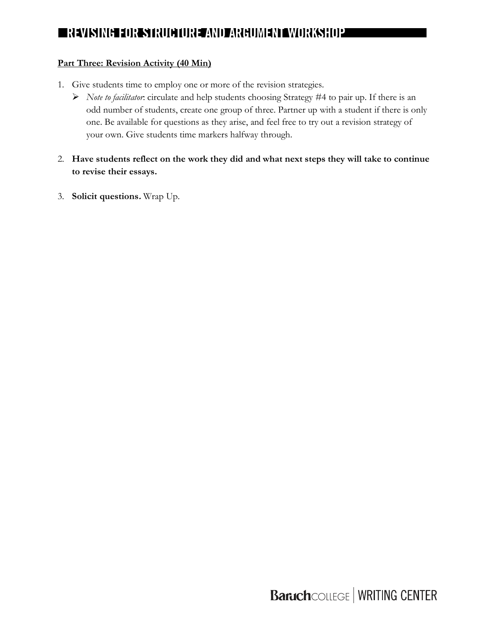#### **Part Three: Revision Activity (40 Min)**

- 1. Give students time to employ one or more of the revision strategies.
	- Ø *Note to facilitator*: circulate and help students choosing Strategy #4 to pair up. If there is an odd number of students, create one group of three. Partner up with a student if there is only one. Be available for questions as they arise, and feel free to try out a revision strategy of your own. Give students time markers halfway through.
- 2. **Have students reflect on the work they did and what next steps they will take to continue to revise their essays.**
- 3. **Solicit questions.** Wrap Up.

**Baruch**COLLEGE | WRITING CENTER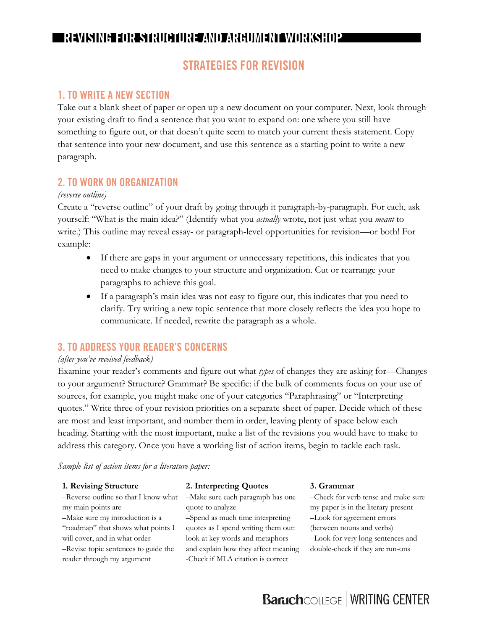## **STRATEGIES FOR REVISION**

#### **1. TO WRITE A NEW SECTION**

Take out a blank sheet of paper or open up a new document on your computer. Next, look through your existing draft to find a sentence that you want to expand on: one where you still have something to figure out, or that doesn't quite seem to match your current thesis statement. Copy that sentence into your new document, and use this sentence as a starting point to write a new paragraph.

#### **2. TO WORK ON ORGANIZATION**

#### *(reverse outline)*

Create a "reverse outline" of your draft by going through it paragraph-by-paragraph. For each, ask yourself: "What is the main idea?" (Identify what you *actually* wrote, not just what you *meant* to write.) This outline may reveal essay- or paragraph-level opportunities for revision—or both! For example:

- If there are gaps in your argument or unnecessary repetitions, this indicates that you need to make changes to your structure and organization. Cut or rearrange your paragraphs to achieve this goal.
- If a paragraph's main idea was not easy to figure out, this indicates that you need to clarify. Try writing a new topic sentence that more closely reflects the idea you hope to communicate. If needed, rewrite the paragraph as a whole.

#### **3. TO ADDRESS YOUR READER'S CONCERNS**

#### *(after you've received feedback)*

Examine your reader's comments and figure out what *types* of changes they are asking for—Changes to your argument? Structure? Grammar? Be specific: if the bulk of comments focus on your use of sources, for example, you might make one of your categories "Paraphrasing" or "Interpreting quotes." Write three of your revision priorities on a separate sheet of paper. Decide which of these are most and least important, and number them in order, leaving plenty of space below each heading. Starting with the most important, make a list of the revisions you would have to make to address this category. Once you have a working list of action items, begin to tackle each task.

#### *Sample list of action items for a literature paper:*

#### **1. Revising Structure**

–Reverse outline so that I know what my main points are

–Make sure my introduction is a "roadmap" that shows what points I will cover, and in what order –Revise topic sentences to guide the reader through my argument

#### **2. Interpreting Quotes**

–Make sure each paragraph has one quote to analyze

–Spend as much time interpreting quotes as I spend writing them out: look at key words and metaphors and explain how they affect meaning -Check if MLA citation is correct

#### **3. Grammar**

–Check for verb tense and make sure my paper is in the literary present –Look for agreement errors (between nouns and verbs) –Look for very long sentences and double-check if they are run-ons

# **Baruch**COLLEGE | WRITING CENTER